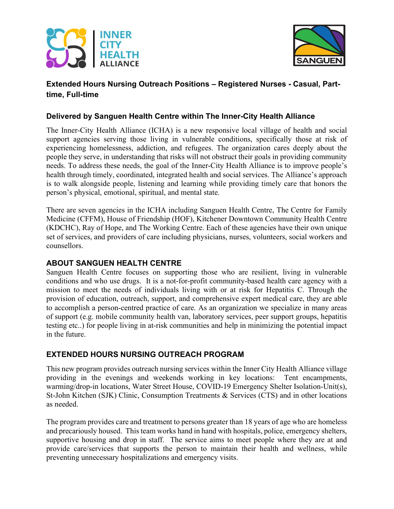



# Extended Hours Nursing Outreach Positions – Registered Nurses - Casual, Parttime, Full-time

#### Delivered by Sanguen Health Centre within The Inner-City Health Alliance

The Inner-City Health Alliance (ICHA) is a new responsive local village of health and social support agencies serving those living in vulnerable conditions, specifically those at risk of experiencing homelessness, addiction, and refugees. The organization cares deeply about the people they serve, in understanding that risks will not obstruct their goals in providing community needs. To address these needs, the goal of the Inner-City Health Alliance is to improve people's health through timely, coordinated, integrated health and social services. The Alliance's approach is to walk alongside people, listening and learning while providing timely care that honors the person's physical, emotional, spiritual, and mental state.

There are seven agencies in the ICHA including Sanguen Health Centre, The Centre for Family Medicine (CFFM), House of Friendship (HOF), Kitchener Downtown Community Health Centre (KDCHC), Ray of Hope, and The Working Centre. Each of these agencies have their own unique set of services, and providers of care including physicians, nurses, volunteers, social workers and counsellors.

## ABOUT SANGUEN HEALTH CENTRE

Sanguen Health Centre focuses on supporting those who are resilient, living in vulnerable conditions and who use drugs. It is a not-for-profit community-based health care agency with a mission to meet the needs of individuals living with or at risk for Hepatitis C. Through the provision of education, outreach, support, and comprehensive expert medical care, they are able to accomplish a person-centred practice of care. As an organization we specialize in many areas of support (e.g. mobile community health van, laboratory services, peer support groups, hepatitis testing etc..) for people living in at-risk communities and help in minimizing the potential impact in the future.

## EXTENDED HOURS NURSING OUTREACH PROGRAM

This new program provides outreach nursing services within the Inner City Health Alliance village providing in the evenings and weekends working in key locations: Tent encampments, warming/drop-in locations, Water Street House, COVID-19 Emergency Shelter Isolation-Unit(s), St-John Kitchen (SJK) Clinic, Consumption Treatments & Services (CTS) and in other locations as needed.

The program provides care and treatment to persons greater than 18 years of age who are homeless and precariously housed. This team works hand in hand with hospitals, police, emergency shelters, supportive housing and drop in staff. The service aims to meet people where they are at and provide care/services that supports the person to maintain their health and wellness, while preventing unnecessary hospitalizations and emergency visits.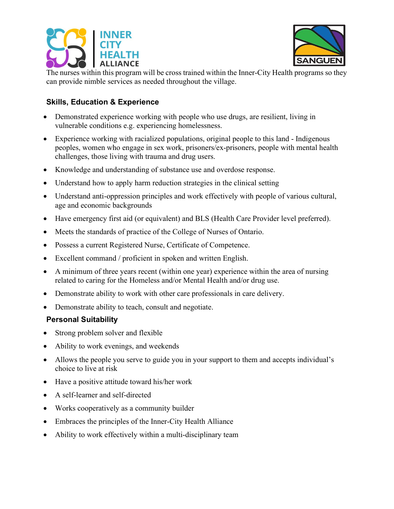



The nurses within this program will be cross trained within the Inner-City Health programs so they can provide nimble services as needed throughout the village.

# Skills, Education & Experience

- Demonstrated experience working with people who use drugs, are resilient, living in vulnerable conditions e.g. experiencing homelessness.
- Experience working with racialized populations, original people to this land Indigenous peoples, women who engage in sex work, prisoners/ex-prisoners, people with mental health challenges, those living with trauma and drug users.
- Knowledge and understanding of substance use and overdose response.
- Understand how to apply harm reduction strategies in the clinical setting
- Understand anti-oppression principles and work effectively with people of various cultural, age and economic backgrounds
- Have emergency first aid (or equivalent) and BLS (Health Care Provider level preferred).
- Meets the standards of practice of the College of Nurses of Ontario.
- Possess a current Registered Nurse, Certificate of Competence.
- Excellent command / proficient in spoken and written English.
- A minimum of three years recent (within one year) experience within the area of nursing related to caring for the Homeless and/or Mental Health and/or drug use.
- Demonstrate ability to work with other care professionals in care delivery.
- Demonstrate ability to teach, consult and negotiate.

#### Personal Suitability

- Strong problem solver and flexible
- Ability to work evenings, and weekends
- Allows the people you serve to guide you in your support to them and accepts individual's choice to live at risk
- Have a positive attitude toward his/her work
- A self-learner and self-directed
- Works cooperatively as a community builder
- Embraces the principles of the Inner-City Health Alliance
- Ability to work effectively within a multi-disciplinary team